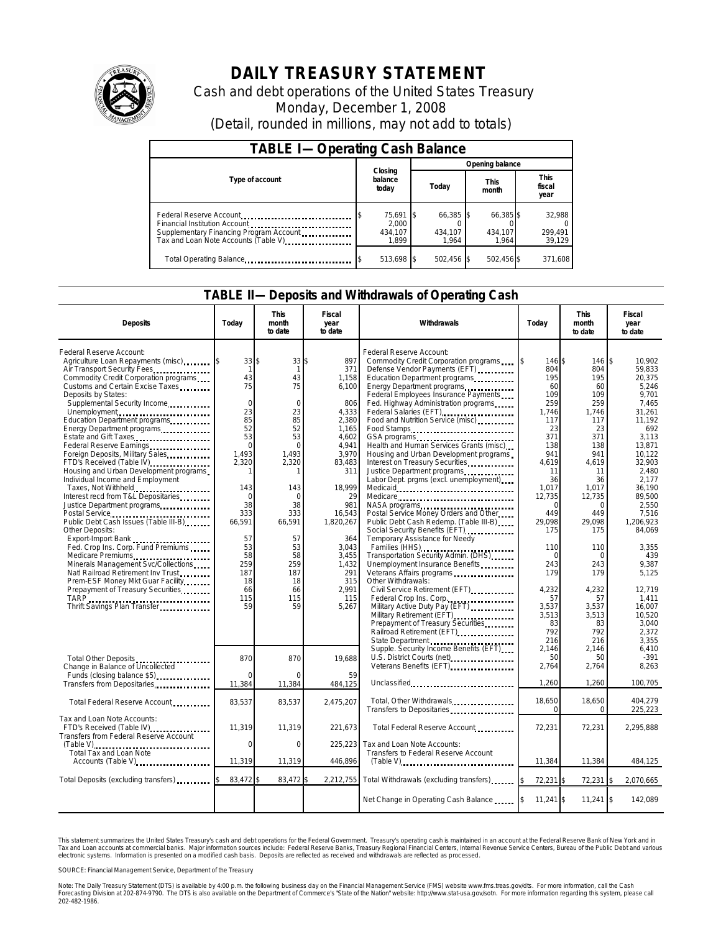

# **DAILY TREASURY STATEMENT**

Cash and debt operations of the United States Treasury Monday, December 1, 2008 (Detail, rounded in millions, may not add to totals)

| <b>TABLE I-Operating Cash Balance</b>                                                                                                       |                                        |                               |                               |                               |  |  |  |
|---------------------------------------------------------------------------------------------------------------------------------------------|----------------------------------------|-------------------------------|-------------------------------|-------------------------------|--|--|--|
|                                                                                                                                             |                                        | Opening balance               |                               |                               |  |  |  |
| Type of account                                                                                                                             | Closing<br>balance<br>today            | Today                         | <b>This</b><br>month          | <b>This</b><br>fiscal<br>year |  |  |  |
| Federal Reserve Account<br>Financial Institution Account<br>Supplementary Financing Program Account<br>Tax and Loan Note Accounts (Table V) | 75,691 \$<br>2.000<br>434.107<br>1.899 | 66,385 \$<br>434.107<br>1.964 | 66,385 \$<br>434.107<br>1.964 | 32,988<br>299,491<br>39,129   |  |  |  |
| Total Operating Balance                                                                                                                     | 513,698 \$                             | 502.456                       | 502,456 \$                    | 371,608                       |  |  |  |

### **TABLE II—Deposits and Withdrawals of Operating Cash**

| <b>Deposits</b>                                                                                                                                                                                                                                                                                                                                                                                                                                                                                                                                                                                                                                                                                                                                                                                                                                                                                                                  | Today                                                                                                                                                                                                        | <b>This</b><br>month<br>to date                                                                                                                                                                                  | Fiscal<br>year<br>to date                                                                                                                                                                                                         | Withdrawals                                                                                                                                                                                                                                                                                                                                                                                                                                                                                                                                                                                                                                                                                                                                                                                                                                                                                                                                                          | Today                                                                                                                                                                                                                                          | <b>This</b><br>month<br>to date                                                                                                                                                                                                                         | Fiscal<br>year<br>to date                                                                                                                                                                                                                                                                                  |
|----------------------------------------------------------------------------------------------------------------------------------------------------------------------------------------------------------------------------------------------------------------------------------------------------------------------------------------------------------------------------------------------------------------------------------------------------------------------------------------------------------------------------------------------------------------------------------------------------------------------------------------------------------------------------------------------------------------------------------------------------------------------------------------------------------------------------------------------------------------------------------------------------------------------------------|--------------------------------------------------------------------------------------------------------------------------------------------------------------------------------------------------------------|------------------------------------------------------------------------------------------------------------------------------------------------------------------------------------------------------------------|-----------------------------------------------------------------------------------------------------------------------------------------------------------------------------------------------------------------------------------|----------------------------------------------------------------------------------------------------------------------------------------------------------------------------------------------------------------------------------------------------------------------------------------------------------------------------------------------------------------------------------------------------------------------------------------------------------------------------------------------------------------------------------------------------------------------------------------------------------------------------------------------------------------------------------------------------------------------------------------------------------------------------------------------------------------------------------------------------------------------------------------------------------------------------------------------------------------------|------------------------------------------------------------------------------------------------------------------------------------------------------------------------------------------------------------------------------------------------|---------------------------------------------------------------------------------------------------------------------------------------------------------------------------------------------------------------------------------------------------------|------------------------------------------------------------------------------------------------------------------------------------------------------------------------------------------------------------------------------------------------------------------------------------------------------------|
| Federal Reserve Account:<br>Agriculture Loan Repayments (misc)<br>Air Transport Security Fees<br>Commodity Credit Corporation programs<br>Customs and Certain Excise Taxes<br>Deposits by States:<br>Supplemental Security Income<br>Unemployment<br>Education Department programs<br>Energy Department programs<br>Estate and Gift Taxes<br>Federal Reserve Earnings<br>Foreign Deposits, Military Sales<br>FTD's Received (Table IV)<br>Housing and Urban Development programs<br>Individual Income and Employment<br>Taxes, Not Withheld<br>Interest recd from T&L Depositaries<br>Justice Department programs<br>Public Debt Cash Issues (Table III-B)<br>Other Deposits:<br>Export-Import Bank<br>Fed. Crop Ins. Corp. Fund Premiums<br>Minerals Management Svc/Collections<br>Natl Railroad Retirement Inv Trust<br>Prem-ESF Money Mkt Guar Facility<br>Prepayment of Treasury Securities.<br>Thrift Savings Plan Transfer | 33S<br>$\overline{1}$<br>43<br>75<br>$\mathbf 0$<br>23<br>85<br>52<br>53<br>$\mathbf 0$<br>1.493<br>2,320<br>143<br>$\Omega$<br>38<br>333<br>66,591<br>57<br>53<br>58<br>259<br>187<br>18<br>66<br>115<br>59 | $33$ \$<br>$\mathbf{1}$<br>43<br>75<br>$\mathbf 0$<br>23<br>85<br>52<br>53<br>$\Omega$<br>1,493<br>2,320<br>1<br>143<br>$\Omega$<br>38<br>333<br>66.591<br>57<br>53<br>58<br>259<br>187<br>18<br>66<br>115<br>59 | 897<br>371<br>1,158<br>6,100<br>806<br>4,333<br>2,380<br>1.165<br>4,602<br>4,941<br>3,970<br>83,483<br>311<br>18,999<br>29<br>981<br>16,543<br>1,820,267<br>364<br>3,043<br>3,455<br>1.432<br>291<br>315<br>2.991<br>115<br>5,267 | Federal Reserve Account:<br>Commodity Credit Corporation programs<br>Defense Vendor Payments (EFT)<br>Education Department programs<br>Energy Department programs<br>Federal Employees Insurance Payments<br>Fed. Highway Administration programs<br>Food and Nutrition Service (misc)<br>Food Stamps<br>Health and Human Services Grants (misc)<br>Housing and Urban Development programs<br>Interest on Treasury Securities<br>Justice Department programs<br>Labor Dept. prgms (excl. unemployment)<br>Medicare<br>Postal Service Money Orders and Other<br>Public Debt Cash Redemp. (Table III-B)<br>Social Security Benefits (EFT).<br>Temporary Assistance for Needy<br>Transportation Security Admin. (DHS)<br>Unemployment Insurance Benefits<br>Veterans Affairs programs<br>Other Withdrawals:<br>Federal Crop Ins. Corp.<br>Military Active Duty Pay (EFT)<br>Military Retirement (EFT)<br>Prepayment of Treasury Securities<br>Railroad Retirement (EFT) | 146 \$<br>804<br>195<br>60<br>109<br>259<br>1.746<br>117<br>23<br>371<br>138<br>941<br>4,619<br>11<br>36<br>1,017<br>12,735<br>$\Omega$<br>449<br>29.098<br>175<br>110<br>0<br>243<br>179<br>4,232<br>57<br>3,537<br>3,513<br>83<br>792<br>216 | 146 \$<br>804<br>195<br>60<br>109<br>259<br>1,746<br>117<br>23<br>371<br>138<br>941<br>4,619<br>11<br>36<br>1,017<br>12,735<br>$\Omega$<br>449<br>29,098<br>175<br>110<br>$\sqrt{ }$<br>243<br>179<br>4,232<br>57<br>3,537<br>3,513<br>83<br>792<br>216 | 10.902<br>59.833<br>20,375<br>5,246<br>9.701<br>7,465<br>31,261<br>11.192<br>692<br>3,113<br>13,871<br>10.122<br>32.903<br>2.480<br>2.177<br>36,190<br>89,500<br>2,550<br>7.516<br>1.206.923<br>84.069<br>3,355<br>439<br>9.387<br>5.125<br>12.719<br>1.411<br>16.007<br>10.520<br>3.040<br>2.372<br>3.355 |
| Total Other Deposits<br>Change in Balance of Uncollected<br>Funds (closing balance \$5)                                                                                                                                                                                                                                                                                                                                                                                                                                                                                                                                                                                                                                                                                                                                                                                                                                          | 870                                                                                                                                                                                                          | 870                                                                                                                                                                                                              | 19.688<br>59                                                                                                                                                                                                                      | State Department<br>Supple. Security Income Benefits (EFT)<br>U.S. District Courts (net)<br>Veterans Benefits (EFT)                                                                                                                                                                                                                                                                                                                                                                                                                                                                                                                                                                                                                                                                                                                                                                                                                                                  | 2.146<br>50<br>2,764                                                                                                                                                                                                                           | 2.146<br>50<br>2,764                                                                                                                                                                                                                                    | 6.410<br>$-391$<br>8,263                                                                                                                                                                                                                                                                                   |
| Transfers from Depositaries                                                                                                                                                                                                                                                                                                                                                                                                                                                                                                                                                                                                                                                                                                                                                                                                                                                                                                      | 11,384                                                                                                                                                                                                       | 11,384                                                                                                                                                                                                           | 484,125                                                                                                                                                                                                                           | Unclassified                                                                                                                                                                                                                                                                                                                                                                                                                                                                                                                                                                                                                                                                                                                                                                                                                                                                                                                                                         | 1,260                                                                                                                                                                                                                                          | 1,260                                                                                                                                                                                                                                                   | 100,705                                                                                                                                                                                                                                                                                                    |
| Total Federal Reserve Account                                                                                                                                                                                                                                                                                                                                                                                                                                                                                                                                                                                                                                                                                                                                                                                                                                                                                                    | 83,537                                                                                                                                                                                                       | 83,537                                                                                                                                                                                                           | 2,475,207                                                                                                                                                                                                                         | Total, Other Withdrawals<br>Transfers to Depositaries                                                                                                                                                                                                                                                                                                                                                                                                                                                                                                                                                                                                                                                                                                                                                                                                                                                                                                                | 18,650<br>$\Omega$                                                                                                                                                                                                                             | 18,650<br>0                                                                                                                                                                                                                                             | 404.279<br>225,223                                                                                                                                                                                                                                                                                         |
| Tax and Loan Note Accounts:<br>FTD's Received (Table IV)<br>Transfers from Federal Reserve Account                                                                                                                                                                                                                                                                                                                                                                                                                                                                                                                                                                                                                                                                                                                                                                                                                               | 11.319                                                                                                                                                                                                       | 11,319                                                                                                                                                                                                           | 221,673                                                                                                                                                                                                                           | Total Federal Reserve Account                                                                                                                                                                                                                                                                                                                                                                                                                                                                                                                                                                                                                                                                                                                                                                                                                                                                                                                                        | 72,231                                                                                                                                                                                                                                         | 72,231                                                                                                                                                                                                                                                  | 2,295,888                                                                                                                                                                                                                                                                                                  |
| Total Tax and Loan Note                                                                                                                                                                                                                                                                                                                                                                                                                                                                                                                                                                                                                                                                                                                                                                                                                                                                                                          | $\mathbf 0$                                                                                                                                                                                                  | $\mathbf 0$                                                                                                                                                                                                      | 225,223                                                                                                                                                                                                                           | Tax and Loan Note Accounts:<br>Transfers to Federal Reserve Account                                                                                                                                                                                                                                                                                                                                                                                                                                                                                                                                                                                                                                                                                                                                                                                                                                                                                                  |                                                                                                                                                                                                                                                |                                                                                                                                                                                                                                                         |                                                                                                                                                                                                                                                                                                            |
| Accounts (Table V)                                                                                                                                                                                                                                                                                                                                                                                                                                                                                                                                                                                                                                                                                                                                                                                                                                                                                                               | 11,319                                                                                                                                                                                                       | 11,319                                                                                                                                                                                                           | 446,896                                                                                                                                                                                                                           | $(Table V)$                                                                                                                                                                                                                                                                                                                                                                                                                                                                                                                                                                                                                                                                                                                                                                                                                                                                                                                                                          | 11,384                                                                                                                                                                                                                                         | 11,384                                                                                                                                                                                                                                                  | 484,125                                                                                                                                                                                                                                                                                                    |
| Total Deposits (excluding transfers)                                                                                                                                                                                                                                                                                                                                                                                                                                                                                                                                                                                                                                                                                                                                                                                                                                                                                             | 83,472 \$                                                                                                                                                                                                    | 83,472 \$                                                                                                                                                                                                        |                                                                                                                                                                                                                                   | 2,212,755 Total Withdrawals (excluding transfers)                                                                                                                                                                                                                                                                                                                                                                                                                                                                                                                                                                                                                                                                                                                                                                                                                                                                                                                    | 72,231 \$                                                                                                                                                                                                                                      | 72,231                                                                                                                                                                                                                                                  | 2,070,665                                                                                                                                                                                                                                                                                                  |
|                                                                                                                                                                                                                                                                                                                                                                                                                                                                                                                                                                                                                                                                                                                                                                                                                                                                                                                                  |                                                                                                                                                                                                              |                                                                                                                                                                                                                  |                                                                                                                                                                                                                                   | Net Change in Operating Cash Balance                                                                                                                                                                                                                                                                                                                                                                                                                                                                                                                                                                                                                                                                                                                                                                                                                                                                                                                                 | 11,241 \$                                                                                                                                                                                                                                      | $11,241$ \$                                                                                                                                                                                                                                             | 142,089                                                                                                                                                                                                                                                                                                    |

This statement summarizes the United States Treasury's cash and debt operations for the Federal Government. Treasury's operating cash is maintained in an account at the Federal Reserve Bank of New York and in<br>Tax and Loan electronic systems. Information is presented on a modified cash basis. Deposits are reflected as received and withdrawals are reflected as processed.

SOURCE: Financial Management Service, Department of the Treasury

Note: The Daily Treasury Statement (DTS) is available by 4:00 p.m. the following business day on the Financial Management Service (FMS) website www.fms.treas.gov/dts. For more information, call the Cash Forecasting Division at 202-874-9790. The DTS is also available on the Department of Commerce's "State of the Nation" website: http://www.stat-usa.gov/sotn. For more information regarding this system, please call<br>202-482-1